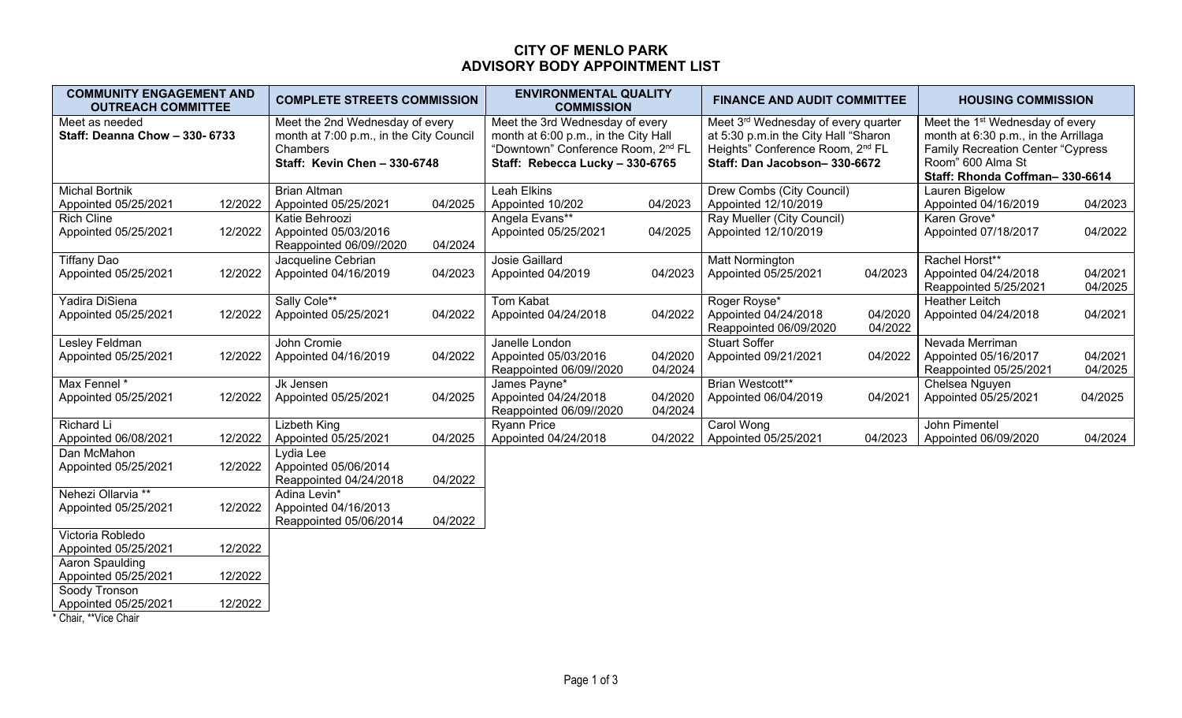### **CITY OF MENLO PARK ADVISORY BODY APPOINTMENT LIST**

| <b>COMMUNITY ENGAGEMENT AND</b><br><b>OUTREACH COMMITTEE</b>                                                                                                                      | <b>COMPLETE STREETS COMMISSION</b>                                           | <b>ENVIRONMENTAL QUALITY</b><br><b>COMMISSION</b>                                                                                                            | <b>FINANCE AND AUDIT COMMITTEE</b>                                                                                                                          | <b>HOUSING COMMISSION</b>                                                                                                                                                               |  |
|-----------------------------------------------------------------------------------------------------------------------------------------------------------------------------------|------------------------------------------------------------------------------|--------------------------------------------------------------------------------------------------------------------------------------------------------------|-------------------------------------------------------------------------------------------------------------------------------------------------------------|-----------------------------------------------------------------------------------------------------------------------------------------------------------------------------------------|--|
| Meet as needed<br>Meet the 2nd Wednesday of every<br><b>Staff: Deanna Chow - 330- 6733</b><br>month at 7:00 p.m., in the City Council<br>Chambers<br>Staff: Kevin Chen - 330-6748 |                                                                              | Meet the 3rd Wednesday of every<br>month at 6:00 p.m., in the City Hall<br>"Downtown" Conference Room, 2 <sup>nd</sup> FL<br>Staff: Rebecca Lucky - 330-6765 | Meet 3rd Wednesday of every quarter<br>at 5:30 p.m.in the City Hall "Sharon<br>Heights" Conference Room, 2 <sup>nd</sup> FL<br>Staff: Dan Jacobson-330-6672 | Meet the 1 <sup>st</sup> Wednesday of every<br>month at 6:30 p.m., in the Arrillaga<br><b>Family Recreation Center "Cypress"</b><br>Room" 600 Alma St<br>Staff: Rhonda Coffman-330-6614 |  |
| <b>Michal Bortnik</b><br>12/2022<br>Appointed 05/25/2021                                                                                                                          | <b>Brian Altman</b><br>04/2025<br>Appointed 05/25/2021                       | Leah Elkins<br>Appointed 10/202<br>04/2023                                                                                                                   | Drew Combs (City Council)<br>Appointed 12/10/2019                                                                                                           | Lauren Bigelow<br>Appointed 04/16/2019<br>04/2023                                                                                                                                       |  |
| <b>Rich Cline</b><br>12/2022<br>Appointed 05/25/2021                                                                                                                              | Katie Behroozi<br>Appointed 05/03/2016<br>Reappointed 06/09//2020<br>04/2024 | Angela Evans**<br>Appointed 05/25/2021<br>04/2025                                                                                                            | Ray Mueller (City Council)<br>Appointed 12/10/2019                                                                                                          | Karen Grove*<br>04/2022<br>Appointed 07/18/2017                                                                                                                                         |  |
| <b>Tiffany Dao</b><br>12/2022<br>Appointed 05/25/2021                                                                                                                             | Jacqueline Cebrian<br>Appointed 04/16/2019<br>04/2023                        | <b>Josie Gaillard</b><br>04/2023<br>Appointed 04/2019                                                                                                        | <b>Matt Normington</b><br>04/2023<br>Appointed 05/25/2021                                                                                                   | Rachel Horst**<br>04/2021<br>Appointed 04/24/2018<br>04/2025<br>Reappointed 5/25/2021                                                                                                   |  |
| Yadira DiSiena<br>12/2022<br>Appointed 05/25/2021                                                                                                                                 | Sally Cole**<br>Appointed 05/25/2021<br>04/2022                              | <b>Tom Kabat</b><br>04/2022<br>Appointed 04/24/2018                                                                                                          | Roger Royse*<br>Appointed 04/24/2018<br>04/2020<br>04/2022<br>Reappointed 06/09/2020                                                                        | <b>Heather Leitch</b><br>04/2021<br>Appointed 04/24/2018                                                                                                                                |  |
| Lesley Feldman<br>12/2022<br>Appointed 05/25/2021                                                                                                                                 | John Cromie<br>04/2022<br>Appointed 04/16/2019                               | Janelle London<br>04/2020<br>Appointed 05/03/2016<br>04/2024<br>Reappointed 06/09//2020                                                                      | <b>Stuart Soffer</b><br>Appointed 09/21/2021<br>04/2022                                                                                                     | Nevada Merriman<br>04/2021<br>Appointed 05/16/2017<br>04/2025<br>Reappointed 05/25/2021                                                                                                 |  |
| Max Fennel *<br>12/2022<br>Appointed 05/25/2021                                                                                                                                   | Jk Jensen<br>Appointed 05/25/2021<br>04/2025                                 | James Payne*<br>Appointed 04/24/2018<br>04/2020<br>04/2024<br>Reappointed 06/09//2020                                                                        | Brian Westcott**<br>Appointed 06/04/2019<br>04/2021                                                                                                         | Chelsea Nguyen<br>Appointed 05/25/2021<br>04/2025                                                                                                                                       |  |
| Richard Li<br>Appointed 06/08/2021<br>12/2022                                                                                                                                     | Lizbeth King<br>Appointed 05/25/2021<br>04/2025                              | <b>Ryann Price</b><br>04/2022<br>Appointed 04/24/2018                                                                                                        | Carol Wong<br>Appointed 05/25/2021<br>04/2023                                                                                                               | John Pimentel<br>04/2024<br>Appointed 06/09/2020                                                                                                                                        |  |
| Dan McMahon<br>12/2022<br>Appointed 05/25/2021                                                                                                                                    | Lydia Lee<br>Appointed 05/06/2014<br>Reappointed 04/24/2018<br>04/2022       |                                                                                                                                                              |                                                                                                                                                             |                                                                                                                                                                                         |  |
| Nehezi Ollarvia **<br>12/2022<br>Appointed 05/25/2021                                                                                                                             | Adina Levin*<br>Appointed 04/16/2013<br>04/2022<br>Reappointed 05/06/2014    |                                                                                                                                                              |                                                                                                                                                             |                                                                                                                                                                                         |  |
| Victoria Robledo<br>Appointed 05/25/2021<br>12/2022                                                                                                                               |                                                                              |                                                                                                                                                              |                                                                                                                                                             |                                                                                                                                                                                         |  |
| Aaron Spaulding<br>12/2022<br>Appointed 05/25/2021                                                                                                                                |                                                                              |                                                                                                                                                              |                                                                                                                                                             |                                                                                                                                                                                         |  |
| Soody Tronson<br>12/2022<br>Appointed 05/25/2021                                                                                                                                  |                                                                              |                                                                                                                                                              |                                                                                                                                                             |                                                                                                                                                                                         |  |

\* Chair, \*\*Vice Chair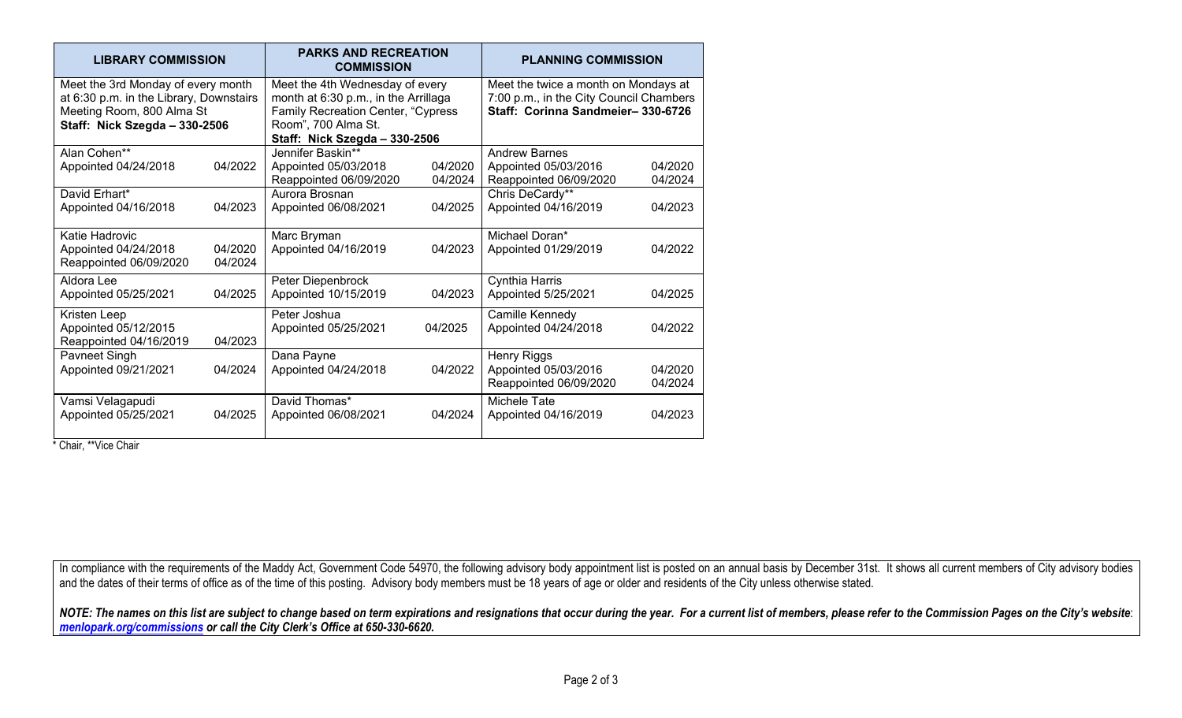| <b>LIBRARY COMMISSION</b>                                                                                                                   |                    | <b>PARKS AND RECREATION</b><br><b>COMMISSION</b>                                                                                                                             |                    | <b>PLANNING COMMISSION</b>                                                                                           |                    |
|---------------------------------------------------------------------------------------------------------------------------------------------|--------------------|------------------------------------------------------------------------------------------------------------------------------------------------------------------------------|--------------------|----------------------------------------------------------------------------------------------------------------------|--------------------|
| Meet the 3rd Monday of every month<br>at 6:30 p.m. in the Library, Downstairs<br>Meeting Room, 800 Alma St<br>Staff: Nick Szegda - 330-2506 |                    | Meet the 4th Wednesday of every<br>month at 6:30 p.m., in the Arrillaga<br><b>Family Recreation Center, "Cypress</b><br>Room", 700 Alma St.<br>Staff: Nick Szegda - 330-2506 |                    | Meet the twice a month on Mondays at<br>7:00 p.m., in the City Council Chambers<br>Staff: Corinna Sandmeier-330-6726 |                    |
| Alan Cohen**<br>Appointed 04/24/2018                                                                                                        | 04/2022            | Jennifer Baskin**<br>Appointed 05/03/2018<br>Reappointed 06/09/2020                                                                                                          | 04/2020<br>04/2024 | <b>Andrew Barnes</b><br>Appointed 05/03/2016<br>Reappointed 06/09/2020                                               | 04/2020<br>04/2024 |
| David Erhart*<br>Appointed 04/16/2018                                                                                                       | 04/2023            | Aurora Brosnan<br>Appointed 06/08/2021                                                                                                                                       | 04/2025            | Chris DeCardy**<br>Appointed 04/16/2019                                                                              | 04/2023            |
| Katie Hadrovic<br>Appointed 04/24/2018<br>Reappointed 06/09/2020                                                                            | 04/2020<br>04/2024 | Marc Bryman<br>Appointed 04/16/2019                                                                                                                                          | 04/2023            | Michael Doran*<br>Appointed 01/29/2019                                                                               | 04/2022            |
| Aldora Lee<br>Appointed 05/25/2021                                                                                                          | 04/2025            | Peter Diepenbrock<br>Appointed 10/15/2019                                                                                                                                    | 04/2023            | Cynthia Harris<br>Appointed 5/25/2021                                                                                | 04/2025            |
| Kristen Leep<br>Appointed 05/12/2015<br>Reappointed 04/16/2019                                                                              | 04/2023            | Peter Joshua<br>Appointed 05/25/2021                                                                                                                                         | 04/2025            | Camille Kennedy<br>Appointed 04/24/2018                                                                              | 04/2022            |
| Pavneet Singh<br>Appointed 09/21/2021                                                                                                       | 04/2024            | Dana Payne<br>Appointed 04/24/2018                                                                                                                                           | 04/2022            | Henry Riggs<br>Appointed 05/03/2016<br>Reappointed 06/09/2020                                                        | 04/2020<br>04/2024 |
| Vamsi Velagapudi<br>Appointed 05/25/2021                                                                                                    | 04/2025            | David Thomas*<br>Appointed 06/08/2021                                                                                                                                        | 04/2024            | Michele Tate<br>Appointed 04/16/2019                                                                                 | 04/2023            |

\* Chair, \*\*Vice Chair

In compliance with the requirements of the Maddy Act, Government Code 54970, the following advisory body appointment list is posted on an annual basis by December 31st. It shows all current members of City advisory bodies and the dates of their terms of office as of the time of this posting. Advisory body members must be 18 years of age or older and residents of the City unless otherwise stated.

*NOTE: The names on this list are subject to change based on term expirations and resignations that occur during the year. For a current list of members, please refer to the Commission Pages on the City's website*: *menlopark.org/commissions or call the City Clerk's Office at 650-330-6620.*